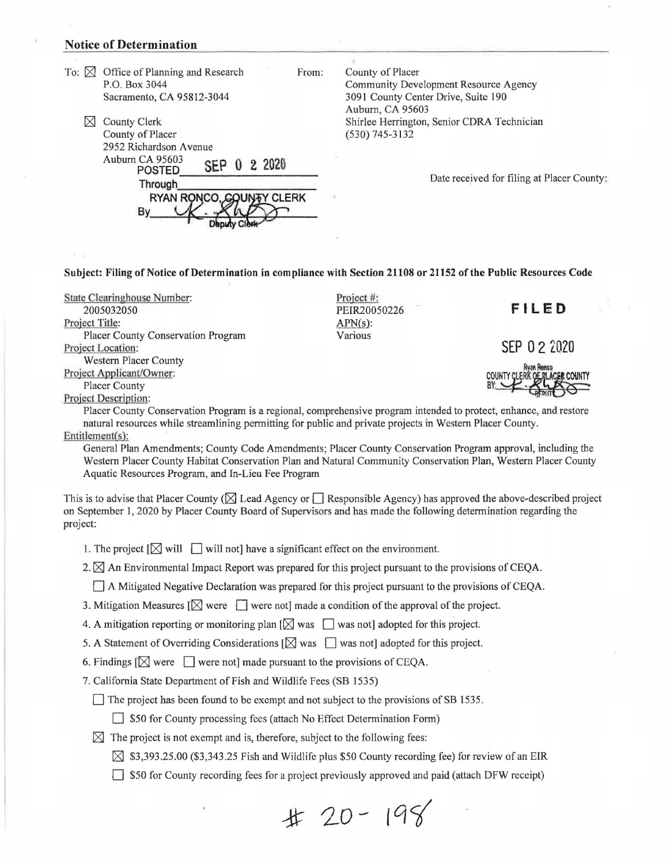## **Notice of Determination**

- To:  $\boxtimes$  Office of Planning and Research P.O. Box 3044 Sacramento, CA 95812-3044
	- $\boxtimes$  County Clerk County of Placer 2952 Richardson Avenue<br>Auburn CA 95603 POSTED **SEP 0 2 2020**<br>Through **RYAN RONCO WAY CLERK**

County of Placer Community Development Resource Agency 3091 County Center Drive, Suite 190 Auburn, CA 95603 Shirlee Herrington, Senior CDRA Technician (530) 745-3132

Date received for filing at Placer County:

**Subject: Filing of Notice of Determination in compliance with Section 21108 or 21152 of the Public Resources Code** 

From:

State Clearinghouse Number: 2005032050 Project Title: Placer County Conservation Program Project Location: Western Placer County Project Applicant/Owner: Placer County

Bv

Project #: PEIR20050226 APN(s): Various

**FILED** 

**SEP O 2 2020** 

Project Description:

Placer County Conservation Program is a regional, comprehensive program intended to protect, enhance, and restore natural resources while streamlining permitting for public and private projects in Western Placer County. Entitlement(s):

General Plan Amendments; County Code Amendments; Placer County Conservation Program approval, including the Western Placer County Habitat Conservation Plan and Natural Community Conservation Plan, Western Placer County Aquatic Resources Program, and In-Lieu Fee Program

This is to advise that Placer County ( $\boxtimes$  Lead Agency or  $\Box$  Responsible Agency) has approved the above-described project on September 1, 2020 by Placer County Board of Supervisors and has made the following determination regarding the project:

1. The project  $[\boxtimes]$  will  $\Box$  will not] have a significant effect on the environment.

2.  $\boxtimes$  An Environmental Impact Report was prepared for this project pursuant to the provisions of CEQA.

D A Mitigated Negative Declaration was prepared for this project pursuant to the provisions of CEQA.

3. Mitigation Measures  $[\![\times]\!]$  were  $[\![\cdot]\!]$  were not] made a condition of the approval of the project.

4. A mitigation reporting or monitoring plan  $[\boxtimes]$  was  $\Box$  was not] adopted for this project.

5. A Statement of Overriding Considerations  $[\boxtimes]$  was  $\Box$  was not] adopted for this project.

6. Findings  $[\boxtimes]$  were  $[\Box]$  were not] made pursuant to the provisions of CEQA.

7. California State Department of Fish and Wildlife Fees (SB 1535)

 $\Box$  The project has been found to be exempt and not subject to the provisions of SB 1535.

 $\Box$  \$50 for County processing fees (attach No Effect Determination Form)

 $\boxtimes$  The project is not exempt and is, therefore, subject to the following fees:

 $\boxtimes$  \$3,393.25.00 (\$3,343.25 Fish and Wildlife plus \$50 County recording fee) for review of an EIR

 $\Box$  \$50 for County recording fees for a project previously approved and paid (attach DFW receipt)

 $\#$  20 - 198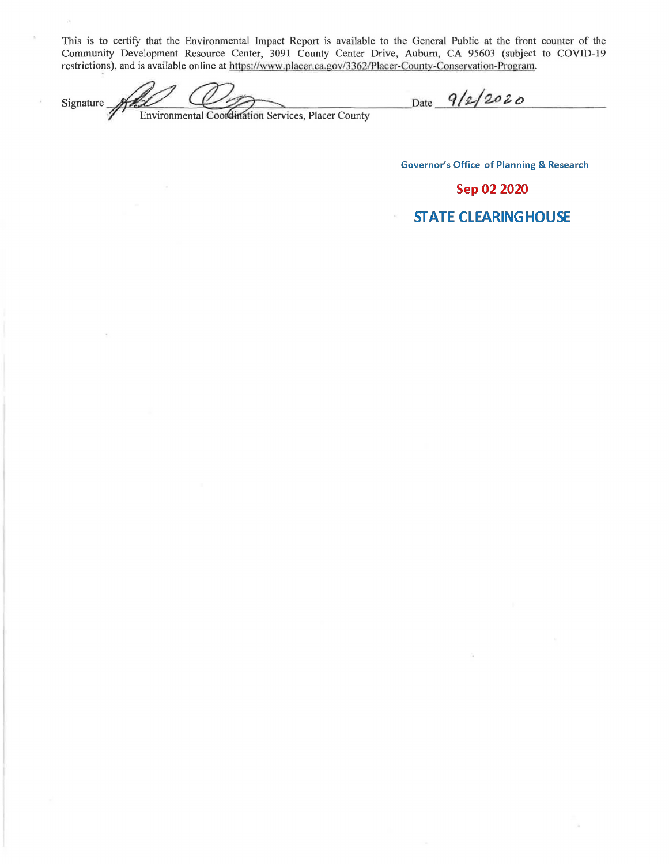This is to certify that the Environmental Impact Report is available to the General Public at the front counter of the Community Development Resource Center, 3091 County Center Drive, Auburn, CA 95603 (subject to COVID-19 restrictions), and is available online at https://www.placer.ca.gov/3362/Placer-County-Conservation-Program.

Signature Environmental Coordination Services, Placer County

 $\tilde{\mathcal{Y}}_i$ 

 $\boldsymbol{\gamma}$ 

Date 9/2/2020

**Governor's Office of Planning & Research** 

Sep 02 2020

**STATE CLEARING HOUSE**